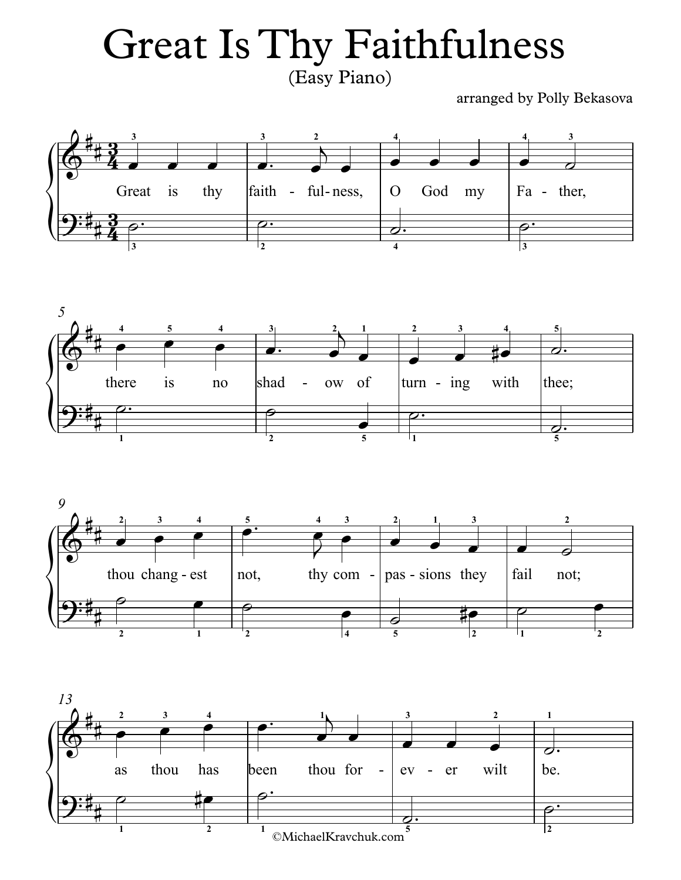## (Easy Piano) Great Is Thy Faithfulness

arranged by Polly Bekasova